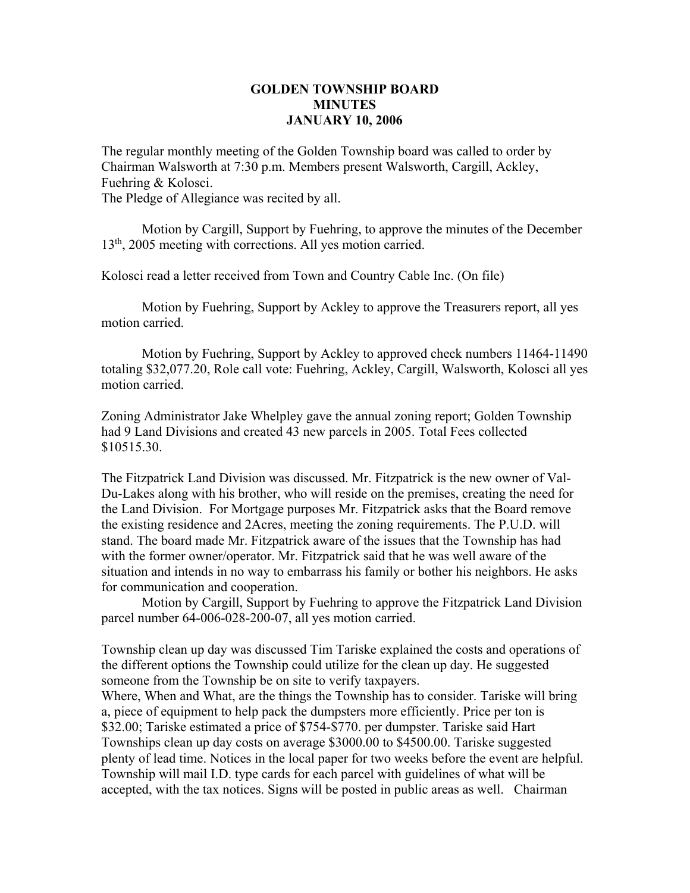## **GOLDEN TOWNSHIP BOARD MINUTES JANUARY 10, 2006**

The regular monthly meeting of the Golden Township board was called to order by Chairman Walsworth at 7:30 p.m. Members present Walsworth, Cargill, Ackley, Fuehring & Kolosci. The Pledge of Allegiance was recited by all.

 Motion by Cargill, Support by Fuehring, to approve the minutes of the December  $13<sup>th</sup>$ , 2005 meeting with corrections. All yes motion carried.

Kolosci read a letter received from Town and Country Cable Inc. (On file)

 Motion by Fuehring, Support by Ackley to approve the Treasurers report, all yes motion carried.

 Motion by Fuehring, Support by Ackley to approved check numbers 11464-11490 totaling \$32,077.20, Role call vote: Fuehring, Ackley, Cargill, Walsworth, Kolosci all yes motion carried.

Zoning Administrator Jake Whelpley gave the annual zoning report; Golden Township had 9 Land Divisions and created 43 new parcels in 2005. Total Fees collected \$10515.30.

The Fitzpatrick Land Division was discussed. Mr. Fitzpatrick is the new owner of Val-Du-Lakes along with his brother, who will reside on the premises, creating the need for the Land Division. For Mortgage purposes Mr. Fitzpatrick asks that the Board remove the existing residence and 2Acres, meeting the zoning requirements. The P.U.D. will stand. The board made Mr. Fitzpatrick aware of the issues that the Township has had with the former owner/operator. Mr. Fitzpatrick said that he was well aware of the situation and intends in no way to embarrass his family or bother his neighbors. He asks for communication and cooperation.

 Motion by Cargill, Support by Fuehring to approve the Fitzpatrick Land Division parcel number 64-006-028-200-07, all yes motion carried.

Township clean up day was discussed Tim Tariske explained the costs and operations of the different options the Township could utilize for the clean up day. He suggested someone from the Township be on site to verify taxpayers.

Where, When and What, are the things the Township has to consider. Tariske will bring a, piece of equipment to help pack the dumpsters more efficiently. Price per ton is \$32.00; Tariske estimated a price of \$754-\$770. per dumpster. Tariske said Hart Townships clean up day costs on average \$3000.00 to \$4500.00. Tariske suggested plenty of lead time. Notices in the local paper for two weeks before the event are helpful. Township will mail I.D. type cards for each parcel with guidelines of what will be accepted, with the tax notices. Signs will be posted in public areas as well. Chairman